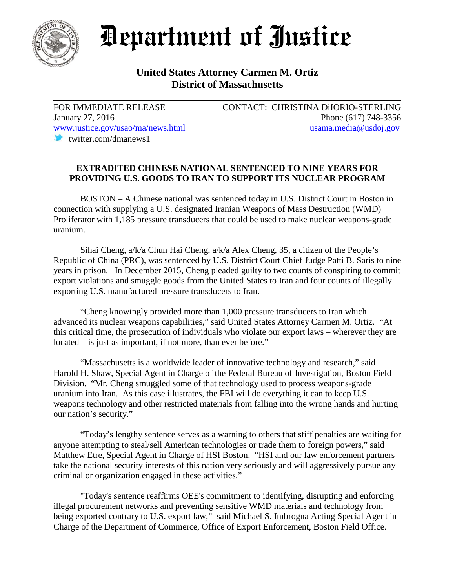

## Department of Justice

## **United States Attorney Carmen M. Ortiz District of Massachusetts**

twitter.com/dmanews1

FOR IMMEDIATE RELEASE CONTACT: CHRISTINA DiIORIO-STERLING January 27, 2016 Phone (617) 748-3356 [www.justice.gov/usao/ma/news.html](http://www.justice.gov/usao/ma/news.html) [usama.media@usdoj.gov](mailto:usama.media@usdoj.gov)

## **EXTRADITED CHINESE NATIONAL SENTENCED TO NINE YEARS FOR PROVIDING U.S. GOODS TO IRAN TO SUPPORT ITS NUCLEAR PROGRAM**

BOSTON – A Chinese national was sentenced today in U.S. District Court in Boston in connection with supplying a U.S. designated Iranian Weapons of Mass Destruction (WMD) Proliferator with 1,185 pressure transducers that could be used to make nuclear weapons-grade uranium.

Sihai Cheng, a/k/a Chun Hai Cheng, a/k/a Alex Cheng, 35, a citizen of the People's Republic of China (PRC), was sentenced by U.S. District Court Chief Judge Patti B. Saris to nine years in prison. In December 2015, Cheng pleaded guilty to two counts of conspiring to commit export violations and smuggle goods from the United States to Iran and four counts of illegally exporting U.S. manufactured pressure transducers to Iran.

"Cheng knowingly provided more than 1,000 pressure transducers to Iran which advanced its nuclear weapons capabilities," said United States Attorney Carmen M. Ortiz. "At this critical time, the prosecution of individuals who violate our export laws – wherever they are located – is just as important, if not more, than ever before."

"Massachusetts is a worldwide leader of innovative technology and research," said Harold H. Shaw, Special Agent in Charge of the Federal Bureau of Investigation, Boston Field Division. "Mr. Cheng smuggled some of that technology used to process weapons-grade uranium into Iran. As this case illustrates, the FBI will do everything it can to keep U.S. weapons technology and other restricted materials from falling into the wrong hands and hurting our nation's security."

"Today's lengthy sentence serves as a warning to others that stiff penalties are waiting for anyone attempting to steal/sell American technologies or trade them to foreign powers," said Matthew Etre, Special Agent in Charge of HSI Boston. "HSI and our law enforcement partners take the national security interests of this nation very seriously and will aggressively pursue any criminal or organization engaged in these activities."

"Today's sentence reaffirms OEE's commitment to identifying, disrupting and enforcing illegal procurement networks and preventing sensitive WMD materials and technology from being exported contrary to U.S. export law," said Michael S. Imbrogna Acting Special Agent in Charge of the Department of Commerce, Office of Export Enforcement, Boston Field Office.